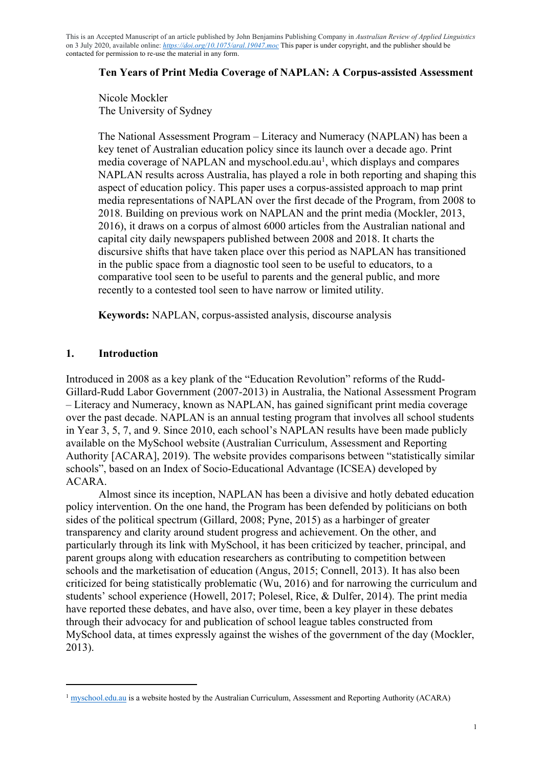# **Ten Years of Print Media Coverage of NAPLAN: A Corpus-assisted Assessment**

Nicole Mockler The University of Sydney

The National Assessment Program – Literacy and Numeracy (NAPLAN) has been a key tenet of Australian education policy since its launch over a decade ago. Print media coverage of NAPLAN and myschool.edu.au<sup>1</sup>, which displays and compares NAPLAN results across Australia, has played a role in both reporting and shaping this aspect of education policy. This paper uses a corpus-assisted approach to map print media representations of NAPLAN over the first decade of the Program, from 2008 to 2018. Building on previous work on NAPLAN and the print media (Mockler, 2013, 2016), it draws on a corpus of almost 6000 articles from the Australian national and capital city daily newspapers published between 2008 and 2018. It charts the discursive shifts that have taken place over this period as NAPLAN has transitioned in the public space from a diagnostic tool seen to be useful to educators, to a comparative tool seen to be useful to parents and the general public, and more recently to a contested tool seen to have narrow or limited utility.

**Keywords:** NAPLAN, corpus-assisted analysis, discourse analysis

# **1. Introduction**

Introduced in 2008 as a key plank of the "Education Revolution" reforms of the Rudd-Gillard-Rudd Labor Government (2007-2013) in Australia, the National Assessment Program – Literacy and Numeracy, known as NAPLAN, has gained significant print media coverage over the past decade. NAPLAN is an annual testing program that involves all school students in Year 3, 5, 7, and 9. Since 2010, each school's NAPLAN results have been made publicly available on the MySchool website (Australian Curriculum, Assessment and Reporting Authority [ACARA], 2019). The website provides comparisons between "statistically similar schools", based on an Index of Socio-Educational Advantage (ICSEA) developed by ACARA.

Almost since its inception, NAPLAN has been a divisive and hotly debated education policy intervention. On the one hand, the Program has been defended by politicians on both sides of the political spectrum (Gillard, 2008; Pyne, 2015) as a harbinger of greater transparency and clarity around student progress and achievement. On the other, and particularly through its link with MySchool, it has been criticized by teacher, principal, and parent groups along with education researchers as contributing to competition between schools and the marketisation of education (Angus, 2015; Connell, 2013). It has also been criticized for being statistically problematic (Wu, 2016) and for narrowing the curriculum and students' school experience (Howell, 2017; Polesel, Rice, & Dulfer, 2014). The print media have reported these debates, and have also, over time, been a key player in these debates through their advocacy for and publication of school league tables constructed from MySchool data, at times expressly against the wishes of the government of the day (Mockler, 2013).

<sup>&</sup>lt;sup>1</sup> myschool.edu.au is a website hosted by the Australian Curriculum, Assessment and Reporting Authority (ACARA)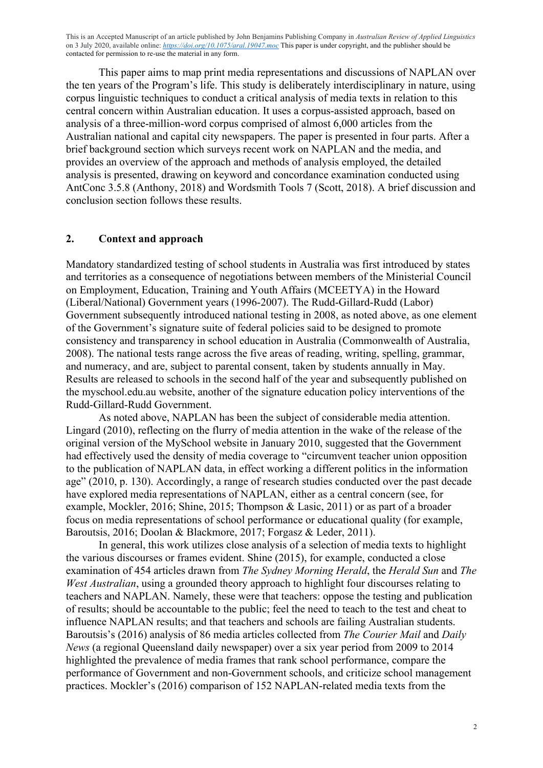This paper aims to map print media representations and discussions of NAPLAN over the ten years of the Program's life. This study is deliberately interdisciplinary in nature, using corpus linguistic techniques to conduct a critical analysis of media texts in relation to this central concern within Australian education. It uses a corpus-assisted approach, based on analysis of a three-million-word corpus comprised of almost 6,000 articles from the Australian national and capital city newspapers. The paper is presented in four parts. After a brief background section which surveys recent work on NAPLAN and the media, and provides an overview of the approach and methods of analysis employed, the detailed analysis is presented, drawing on keyword and concordance examination conducted using AntConc 3.5.8 (Anthony, 2018) and Wordsmith Tools 7 (Scott, 2018). A brief discussion and conclusion section follows these results.

#### **2. Context and approach**

Mandatory standardized testing of school students in Australia was first introduced by states and territories as a consequence of negotiations between members of the Ministerial Council on Employment, Education, Training and Youth Affairs (MCEETYA) in the Howard (Liberal/National) Government years (1996-2007). The Rudd-Gillard-Rudd (Labor) Government subsequently introduced national testing in 2008, as noted above, as one element of the Government's signature suite of federal policies said to be designed to promote consistency and transparency in school education in Australia (Commonwealth of Australia, 2008). The national tests range across the five areas of reading, writing, spelling, grammar, and numeracy, and are, subject to parental consent, taken by students annually in May. Results are released to schools in the second half of the year and subsequently published on the myschool.edu.au website, another of the signature education policy interventions of the Rudd-Gillard-Rudd Government.

As noted above, NAPLAN has been the subject of considerable media attention. Lingard (2010), reflecting on the flurry of media attention in the wake of the release of the original version of the MySchool website in January 2010, suggested that the Government had effectively used the density of media coverage to "circumvent teacher union opposition to the publication of NAPLAN data, in effect working a different politics in the information age" (2010, p. 130). Accordingly, a range of research studies conducted over the past decade have explored media representations of NAPLAN, either as a central concern (see, for example, Mockler, 2016; Shine, 2015; Thompson & Lasic, 2011) or as part of a broader focus on media representations of school performance or educational quality (for example, Baroutsis, 2016; Doolan & Blackmore, 2017; Forgasz & Leder, 2011).

In general, this work utilizes close analysis of a selection of media texts to highlight the various discourses or frames evident. Shine (2015), for example, conducted a close examination of 454 articles drawn from *The Sydney Morning Herald*, the *Herald Sun* and *The West Australian*, using a grounded theory approach to highlight four discourses relating to teachers and NAPLAN. Namely, these were that teachers: oppose the testing and publication of results; should be accountable to the public; feel the need to teach to the test and cheat to influence NAPLAN results; and that teachers and schools are failing Australian students. Baroutsis's (2016) analysis of 86 media articles collected from *The Courier Mail* and *Daily News* (a regional Queensland daily newspaper) over a six year period from 2009 to 2014 highlighted the prevalence of media frames that rank school performance, compare the performance of Government and non-Government schools, and criticize school management practices. Mockler's (2016) comparison of 152 NAPLAN-related media texts from the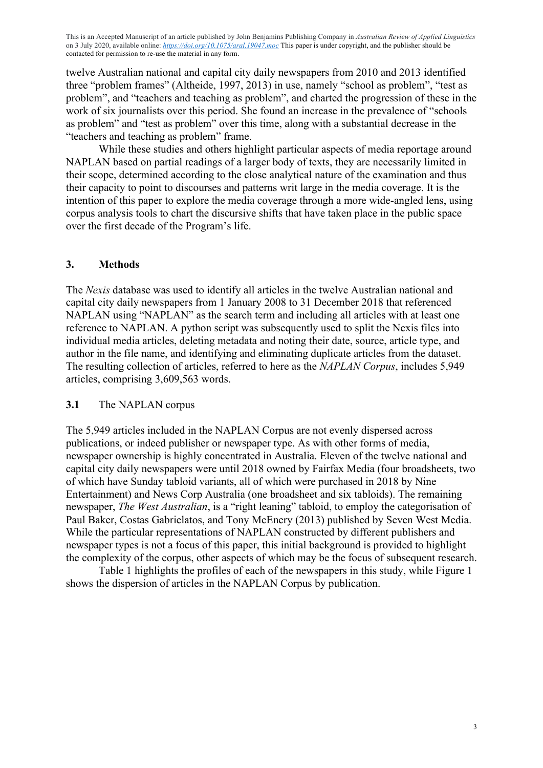twelve Australian national and capital city daily newspapers from 2010 and 2013 identified three "problem frames" (Altheide, 1997, 2013) in use, namely "school as problem", "test as problem", and "teachers and teaching as problem", and charted the progression of these in the work of six journalists over this period. She found an increase in the prevalence of "schools as problem" and "test as problem" over this time, along with a substantial decrease in the "teachers and teaching as problem" frame.

While these studies and others highlight particular aspects of media reportage around NAPLAN based on partial readings of a larger body of texts, they are necessarily limited in their scope, determined according to the close analytical nature of the examination and thus their capacity to point to discourses and patterns writ large in the media coverage. It is the intention of this paper to explore the media coverage through a more wide-angled lens, using corpus analysis tools to chart the discursive shifts that have taken place in the public space over the first decade of the Program's life.

# **3. Methods**

The *Nexis* database was used to identify all articles in the twelve Australian national and capital city daily newspapers from 1 January 2008 to 31 December 2018 that referenced NAPLAN using "NAPLAN" as the search term and including all articles with at least one reference to NAPLAN. A python script was subsequently used to split the Nexis files into individual media articles, deleting metadata and noting their date, source, article type, and author in the file name, and identifying and eliminating duplicate articles from the dataset. The resulting collection of articles, referred to here as the *NAPLAN Corpus*, includes 5,949 articles, comprising 3,609,563 words.

#### **3.1** The NAPLAN corpus

The 5,949 articles included in the NAPLAN Corpus are not evenly dispersed across publications, or indeed publisher or newspaper type. As with other forms of media, newspaper ownership is highly concentrated in Australia. Eleven of the twelve national and capital city daily newspapers were until 2018 owned by Fairfax Media (four broadsheets, two of which have Sunday tabloid variants, all of which were purchased in 2018 by Nine Entertainment) and News Corp Australia (one broadsheet and six tabloids). The remaining newspaper, *The West Australian*, is a "right leaning" tabloid, to employ the categorisation of Paul Baker, Costas Gabrielatos, and Tony McEnery (2013) published by Seven West Media. While the particular representations of NAPLAN constructed by different publishers and newspaper types is not a focus of this paper, this initial background is provided to highlight the complexity of the corpus, other aspects of which may be the focus of subsequent research.

Table 1 highlights the profiles of each of the newspapers in this study, while Figure 1 shows the dispersion of articles in the NAPLAN Corpus by publication.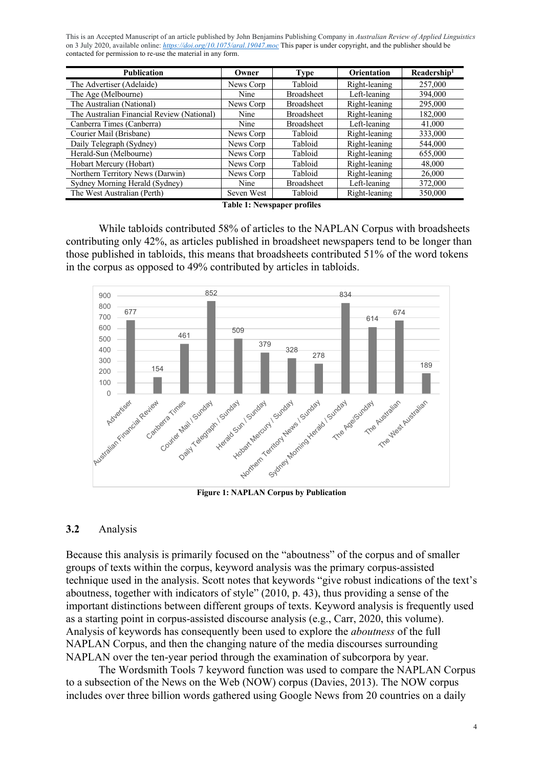| <b>Publication</b>                         | Owner      | <b>Type</b>       | <b>Orientation</b> | Readership <sup>1</sup> |
|--------------------------------------------|------------|-------------------|--------------------|-------------------------|
| The Advertiser (Adelaide)                  | News Corp  | Tabloid           | Right-leaning      | 257,000                 |
| The Age (Melbourne)                        | Nine       | <b>Broadsheet</b> | Left-leaning       | 394,000                 |
| The Australian (National)                  | News Corp  | <b>Broadsheet</b> | Right-leaning      | 295,000                 |
| The Australian Financial Review (National) | Nine       | <b>Broadsheet</b> | Right-leaning      | 182,000                 |
| Canberra Times (Canberra)                  | Nine       | <b>Broadsheet</b> | Left-leaning       | 41,000                  |
| Courier Mail (Brisbane)                    | News Corp  | Tabloid           | Right-leaning      | 333,000                 |
| Daily Telegraph (Sydney)                   | News Corp  | Tabloid           | Right-leaning      | 544,000                 |
| Herald-Sun (Melbourne)                     | News Corp  | Tabloid           | Right-leaning      | 655,000                 |
| Hobart Mercury (Hobart)                    | News Corp  | Tabloid           | Right-leaning      | 48,000                  |
| Northern Territory News (Darwin)           | News Corp  | Tabloid           | Right-leaning      | 26,000                  |
| Sydney Morning Herald (Sydney)             | Nine       | <b>Broadsheet</b> | Left-leaning       | 372,000                 |
| The West Australian (Perth)                | Seven West | Tabloid           | Right-leaning      | 350,000                 |

**Table 1: Newspaper profiles**

While tabloids contributed 58% of articles to the NAPLAN Corpus with broadsheets contributing only 42%, as articles published in broadsheet newspapers tend to be longer than those published in tabloids, this means that broadsheets contributed 51% of the word tokens in the corpus as opposed to 49% contributed by articles in tabloids.



**Figure 1: NAPLAN Corpus by Publication**

#### **3.2** Analysis

Because this analysis is primarily focused on the "aboutness" of the corpus and of smaller groups of texts within the corpus, keyword analysis was the primary corpus-assisted technique used in the analysis. Scott notes that keywords "give robust indications of the text's aboutness, together with indicators of style" (2010, p. 43), thus providing a sense of the important distinctions between different groups of texts. Keyword analysis is frequently used as a starting point in corpus-assisted discourse analysis (e.g., Carr, 2020, this volume). Analysis of keywords has consequently been used to explore the *aboutness* of the full NAPLAN Corpus, and then the changing nature of the media discourses surrounding NAPLAN over the ten-year period through the examination of subcorpora by year.

The Wordsmith Tools 7 keyword function was used to compare the NAPLAN Corpus to a subsection of the News on the Web (NOW) corpus (Davies, 2013). The NOW corpus includes over three billion words gathered using Google News from 20 countries on a daily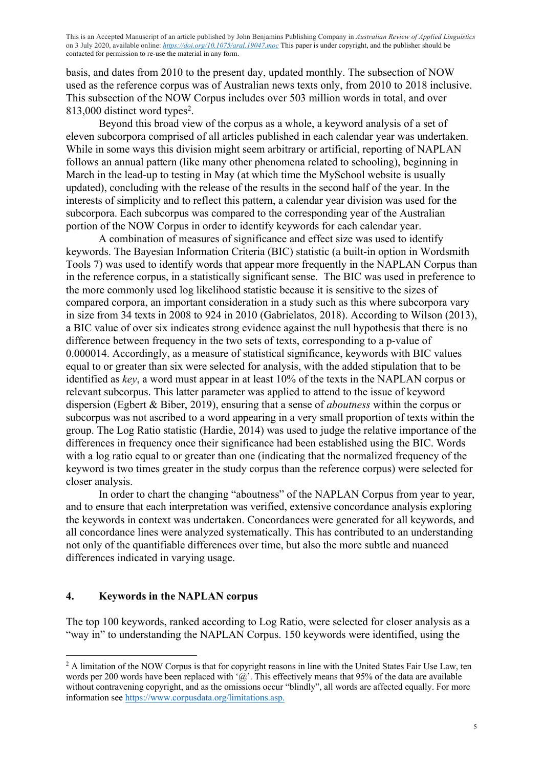basis, and dates from 2010 to the present day, updated monthly. The subsection of NOW used as the reference corpus was of Australian news texts only, from 2010 to 2018 inclusive. This subsection of the NOW Corpus includes over 503 million words in total, and over 813,000 distinct word types<sup>2</sup>.

Beyond this broad view of the corpus as a whole, a keyword analysis of a set of eleven subcorpora comprised of all articles published in each calendar year was undertaken. While in some ways this division might seem arbitrary or artificial, reporting of NAPLAN follows an annual pattern (like many other phenomena related to schooling), beginning in March in the lead-up to testing in May (at which time the MySchool website is usually updated), concluding with the release of the results in the second half of the year. In the interests of simplicity and to reflect this pattern, a calendar year division was used for the subcorpora. Each subcorpus was compared to the corresponding year of the Australian portion of the NOW Corpus in order to identify keywords for each calendar year.

A combination of measures of significance and effect size was used to identify keywords. The Bayesian Information Criteria (BIC) statistic (a built-in option in Wordsmith Tools 7) was used to identify words that appear more frequently in the NAPLAN Corpus than in the reference corpus, in a statistically significant sense. The BIC was used in preference to the more commonly used log likelihood statistic because it is sensitive to the sizes of compared corpora, an important consideration in a study such as this where subcorpora vary in size from 34 texts in 2008 to 924 in 2010 (Gabrielatos, 2018). According to Wilson (2013), a BIC value of over six indicates strong evidence against the null hypothesis that there is no difference between frequency in the two sets of texts, corresponding to a p-value of 0.000014. Accordingly, as a measure of statistical significance, keywords with BIC values equal to or greater than six were selected for analysis, with the added stipulation that to be identified as *key*, a word must appear in at least 10% of the texts in the NAPLAN corpus or relevant subcorpus. This latter parameter was applied to attend to the issue of keyword dispersion (Egbert & Biber, 2019), ensuring that a sense of *aboutness* within the corpus or subcorpus was not ascribed to a word appearing in a very small proportion of texts within the group. The Log Ratio statistic (Hardie, 2014) was used to judge the relative importance of the differences in frequency once their significance had been established using the BIC. Words with a log ratio equal to or greater than one (indicating that the normalized frequency of the keyword is two times greater in the study corpus than the reference corpus) were selected for closer analysis.

In order to chart the changing "aboutness" of the NAPLAN Corpus from year to year, and to ensure that each interpretation was verified, extensive concordance analysis exploring the keywords in context was undertaken. Concordances were generated for all keywords, and all concordance lines were analyzed systematically. This has contributed to an understanding not only of the quantifiable differences over time, but also the more subtle and nuanced differences indicated in varying usage.

## **4. Keywords in the NAPLAN corpus**

The top 100 keywords, ranked according to Log Ratio, were selected for closer analysis as a "way in" to understanding the NAPLAN Corpus. 150 keywords were identified, using the

<sup>&</sup>lt;sup>2</sup> A limitation of the NOW Corpus is that for copyright reasons in line with the United States Fair Use Law, ten words per 200 words have been replaced with ' $\hat{a}$ '. This effectively means that 95% of the data are available without contravening copyright, and as the omissions occur "blindly", all words are affected equally. For more information see https://www.corpusdata.org/limitations.asp.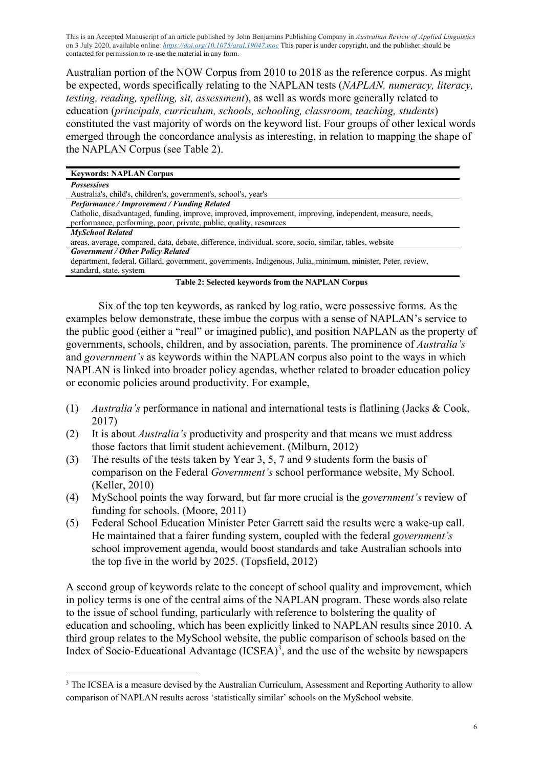Australian portion of the NOW Corpus from 2010 to 2018 as the reference corpus. As might be expected, words specifically relating to the NAPLAN tests (*NAPLAN, numeracy, literacy, testing, reading, spelling, sit, assessment*), as well as words more generally related to education (*principals, curriculum, schools, schooling, classroom, teaching, students*) constituted the vast majority of words on the keyword list. Four groups of other lexical words emerged through the concordance analysis as interesting, in relation to mapping the shape of the NAPLAN Corpus (see Table 2).

| <b>Keywords: NAPLAN Corpus</b>                                                                              |  |  |  |  |  |  |  |
|-------------------------------------------------------------------------------------------------------------|--|--|--|--|--|--|--|
| <b>Possessives</b>                                                                                          |  |  |  |  |  |  |  |
| Australia's, child's, children's, government's, school's, year's                                            |  |  |  |  |  |  |  |
| Performance / Improvement / Funding Related                                                                 |  |  |  |  |  |  |  |
| Catholic, disadvantaged, funding, improve, improved, improvement, improving, independent, measure, needs,   |  |  |  |  |  |  |  |
| performance, performing, poor, private, public, quality, resources                                          |  |  |  |  |  |  |  |
| <b>MySchool Related</b>                                                                                     |  |  |  |  |  |  |  |
| areas, average, compared, data, debate, difference, individual, score, socio, similar, tables, website      |  |  |  |  |  |  |  |
| <b>Government / Other Policy Related</b>                                                                    |  |  |  |  |  |  |  |
| department, federal, Gillard, government, governments, Indigenous, Julia, minimum, minister, Peter, review, |  |  |  |  |  |  |  |
| standard, state, system                                                                                     |  |  |  |  |  |  |  |
| <b>Table 2: Selected keywords from the NAPLAN Corpus</b>                                                    |  |  |  |  |  |  |  |

Six of the top ten keywords, as ranked by log ratio, were possessive forms. As the examples below demonstrate, these imbue the corpus with a sense of NAPLAN's service to the public good (either a "real" or imagined public), and position NAPLAN as the property of governments, schools, children, and by association, parents. The prominence of *Australia's* and *government's* as keywords within the NAPLAN corpus also point to the ways in which NAPLAN is linked into broader policy agendas, whether related to broader education policy or economic policies around productivity. For example,

- (1) *Australia's* performance in national and international tests is flatlining (Jacks & Cook, 2017)
- (2) It is about *Australia's* productivity and prosperity and that means we must address those factors that limit student achievement. (Milburn, 2012)
- (3) The results of the tests taken by Year 3, 5, 7 and 9 students form the basis of comparison on the Federal *Government's* school performance website, My School. (Keller, 2010)
- (4) MySchool points the way forward, but far more crucial is the *government's* review of funding for schools. (Moore, 2011)
- (5) Federal School Education Minister Peter Garrett said the results were a wake-up call. He maintained that a fairer funding system, coupled with the federal *government's* school improvement agenda, would boost standards and take Australian schools into the top five in the world by 2025. (Topsfield, 2012)

A second group of keywords relate to the concept of school quality and improvement, which in policy terms is one of the central aims of the NAPLAN program. These words also relate to the issue of school funding, particularly with reference to bolstering the quality of education and schooling, which has been explicitly linked to NAPLAN results since 2010. A third group relates to the MySchool website, the public comparison of schools based on the Index of Socio-Educational Advantage  $(ICSEA)^3$ , and the use of the website by newspapers

<sup>&</sup>lt;sup>3</sup> The ICSEA is a measure devised by the Australian Curriculum, Assessment and Reporting Authority to allow comparison of NAPLAN results across 'statistically similar' schools on the MySchool website.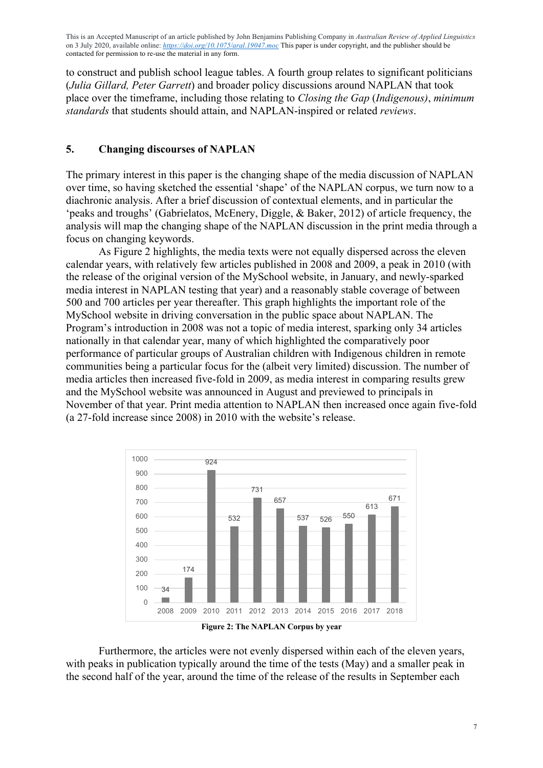to construct and publish school league tables. A fourth group relates to significant politicians (*Julia Gillard, Peter Garrett*) and broader policy discussions around NAPLAN that took place over the timeframe, including those relating to *Closing the Gap* (*Indigenous)*, *minimum standards* that students should attain, and NAPLAN-inspired or related *reviews*.

### **5. Changing discourses of NAPLAN**

The primary interest in this paper is the changing shape of the media discussion of NAPLAN over time, so having sketched the essential 'shape' of the NAPLAN corpus, we turn now to a diachronic analysis. After a brief discussion of contextual elements, and in particular the 'peaks and troughs' (Gabrielatos, McEnery, Diggle, & Baker, 2012) of article frequency, the analysis will map the changing shape of the NAPLAN discussion in the print media through a focus on changing keywords.

As Figure 2 highlights, the media texts were not equally dispersed across the eleven calendar years, with relatively few articles published in 2008 and 2009, a peak in 2010 (with the release of the original version of the MySchool website, in January, and newly-sparked media interest in NAPLAN testing that year) and a reasonably stable coverage of between 500 and 700 articles per year thereafter. This graph highlights the important role of the MySchool website in driving conversation in the public space about NAPLAN. The Program's introduction in 2008 was not a topic of media interest, sparking only 34 articles nationally in that calendar year, many of which highlighted the comparatively poor performance of particular groups of Australian children with Indigenous children in remote communities being a particular focus for the (albeit very limited) discussion. The number of media articles then increased five-fold in 2009, as media interest in comparing results grew and the MySchool website was announced in August and previewed to principals in November of that year. Print media attention to NAPLAN then increased once again five-fold (a 27-fold increase since 2008) in 2010 with the website's release.



**Figure 2: The NAPLAN Corpus by year**

Furthermore, the articles were not evenly dispersed within each of the eleven years, with peaks in publication typically around the time of the tests (May) and a smaller peak in the second half of the year, around the time of the release of the results in September each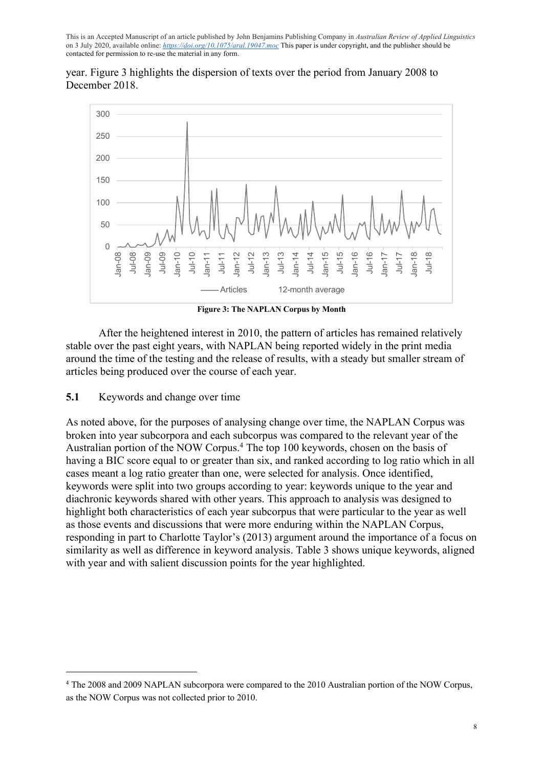

year. Figure 3 highlights the dispersion of texts over the period from January 2008 to December 2018.

**Figure 3: The NAPLAN Corpus by Month**

After the heightened interest in 2010, the pattern of articles has remained relatively stable over the past eight years, with NAPLAN being reported widely in the print media around the time of the testing and the release of results, with a steady but smaller stream of articles being produced over the course of each year.

#### **5.1** Keywords and change over time

As noted above, for the purposes of analysing change over time, the NAPLAN Corpus was broken into year subcorpora and each subcorpus was compared to the relevant year of the Australian portion of the NOW Corpus.4 The top 100 keywords, chosen on the basis of having a BIC score equal to or greater than six, and ranked according to log ratio which in all cases meant a log ratio greater than one, were selected for analysis. Once identified, keywords were split into two groups according to year: keywords unique to the year and diachronic keywords shared with other years. This approach to analysis was designed to highlight both characteristics of each year subcorpus that were particular to the year as well as those events and discussions that were more enduring within the NAPLAN Corpus, responding in part to Charlotte Taylor's (2013) argument around the importance of a focus on similarity as well as difference in keyword analysis. Table 3 shows unique keywords, aligned with year and with salient discussion points for the year highlighted.

<sup>4</sup> The 2008 and 2009 NAPLAN subcorpora were compared to the 2010 Australian portion of the NOW Corpus, as the NOW Corpus was not collected prior to 2010.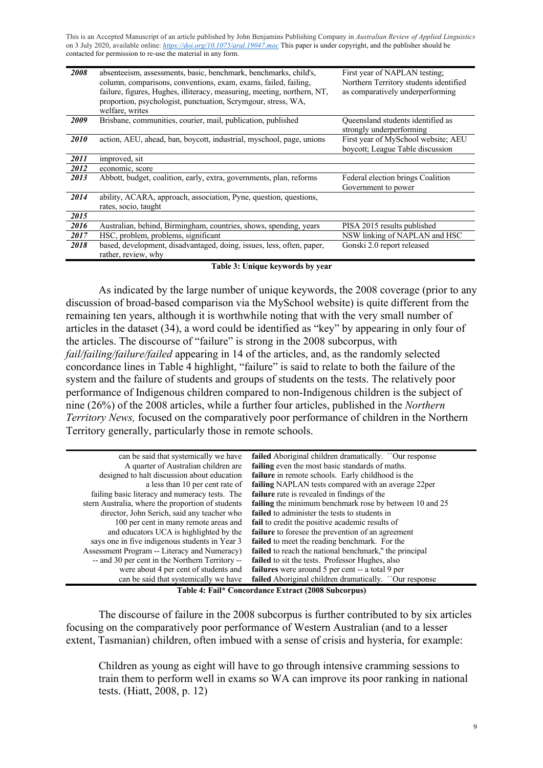| 2008 | absenteeism, assessments, basic, benchmark, benchmarks, child's,<br>column, comparisons, conventions, exam, exams, failed, failing,<br>failure, figures, Hughes, illiteracy, measuring, meeting, northern, NT,<br>proportion, psychologist, punctuation, Scrymgour, stress, WA,<br>welfare, writes | First year of NAPLAN testing;<br>Northern Territory students identified<br>as comparatively underperforming |
|------|----------------------------------------------------------------------------------------------------------------------------------------------------------------------------------------------------------------------------------------------------------------------------------------------------|-------------------------------------------------------------------------------------------------------------|
| 2009 | Brisbane, communities, courier, mail, publication, published                                                                                                                                                                                                                                       | Queensland students identified as<br>strongly underperforming                                               |
| 2010 | action, AEU, ahead, ban, boycott, industrial, myschool, page, unions                                                                                                                                                                                                                               | First year of MySchool website; AEU<br>boycott; League Table discussion                                     |
| 2011 | improved, sit                                                                                                                                                                                                                                                                                      |                                                                                                             |
| 2012 | economic, score                                                                                                                                                                                                                                                                                    |                                                                                                             |
| 2013 | Abbott, budget, coalition, early, extra, governments, plan, reforms                                                                                                                                                                                                                                | Federal election brings Coalition<br>Government to power                                                    |
| 2014 | ability, ACARA, approach, association, Pyne, question, questions,<br>rates, socio, taught                                                                                                                                                                                                          |                                                                                                             |
| 2015 |                                                                                                                                                                                                                                                                                                    |                                                                                                             |
| 2016 | Australian, behind, Birmingham, countries, shows, spending, years                                                                                                                                                                                                                                  | PISA 2015 results published                                                                                 |
| 2017 | HSC, problem, problems, significant                                                                                                                                                                                                                                                                | NSW linking of NAPLAN and HSC                                                                               |
| 2018 | based, development, disadvantaged, doing, issues, less, often, paper,<br>rather, review, why                                                                                                                                                                                                       | Gonski 2.0 report released                                                                                  |

**Table 3: Unique keywords by year** 

As indicated by the large number of unique keywords, the 2008 coverage (prior to any discussion of broad-based comparison via the MySchool website) is quite different from the remaining ten years, although it is worthwhile noting that with the very small number of articles in the dataset (34), a word could be identified as "key" by appearing in only four of the articles. The discourse of "failure" is strong in the 2008 subcorpus, with *fail/failing/failure/failed* appearing in 14 of the articles, and, as the randomly selected concordance lines in Table 4 highlight, "failure" is said to relate to both the failure of the system and the failure of students and groups of students on the tests. The relatively poor performance of Indigenous children compared to non-Indigenous children is the subject of nine (26%) of the 2008 articles, while a further four articles, published in the *Northern Territory News,* focused on the comparatively poor performance of children in the Northern Territory generally, particularly those in remote schools.

| can be said that systemically we have             | <b>failed</b> Aboriginal children dramatically. "Our response                                                                                                                                                                                                                                                                                                                                                                                                                              |
|---------------------------------------------------|--------------------------------------------------------------------------------------------------------------------------------------------------------------------------------------------------------------------------------------------------------------------------------------------------------------------------------------------------------------------------------------------------------------------------------------------------------------------------------------------|
| A quarter of Australian children are              | failing even the most basic standards of maths.                                                                                                                                                                                                                                                                                                                                                                                                                                            |
| designed to halt discussion about education       | <b>failure</b> in remote schools. Early childhood is the                                                                                                                                                                                                                                                                                                                                                                                                                                   |
| a less than 10 per cent rate of                   | failing NAPLAN tests compared with an average 22per                                                                                                                                                                                                                                                                                                                                                                                                                                        |
| failing basic literacy and numeracy tests. The    | failure rate is revealed in findings of the                                                                                                                                                                                                                                                                                                                                                                                                                                                |
| stern Australia, where the proportion of students | <b>failing</b> the minimum benchmark rose by between 10 and 25                                                                                                                                                                                                                                                                                                                                                                                                                             |
| director, John Serich, said any teacher who       | failed to administer the tests to students in                                                                                                                                                                                                                                                                                                                                                                                                                                              |
| 100 per cent in many remote areas and             | fail to credit the positive academic results of                                                                                                                                                                                                                                                                                                                                                                                                                                            |
| and educators UCA is highlighted by the           | failure to foresee the prevention of an agreement                                                                                                                                                                                                                                                                                                                                                                                                                                          |
| says one in five indigenous students in Year 3    | <b>failed</b> to meet the reading benchmark. For the                                                                                                                                                                                                                                                                                                                                                                                                                                       |
| Assessment Program -- Literacy and Numeracy)      | failed to reach the national benchmark," the principal                                                                                                                                                                                                                                                                                                                                                                                                                                     |
| -- and 30 per cent in the Northern Territory --   | <b>failed</b> to sit the tests. Professor Hughes, also                                                                                                                                                                                                                                                                                                                                                                                                                                     |
| were about 4 per cent of students and             | failures were around 5 per cent -- a total 9 per                                                                                                                                                                                                                                                                                                                                                                                                                                           |
| can be said that systemically we have             | <b>failed</b> Aboriginal children dramatically. "Our response                                                                                                                                                                                                                                                                                                                                                                                                                              |
| --------                                          | $\blacksquare$ $\blacksquare$ $\blacksquare$ $\blacksquare$ $\blacksquare$ $\blacksquare$ $\blacksquare$ $\blacksquare$ $\blacksquare$ $\blacksquare$ $\blacksquare$ $\blacksquare$ $\blacksquare$ $\blacksquare$ $\blacksquare$ $\blacksquare$ $\blacksquare$ $\blacksquare$ $\blacksquare$ $\blacksquare$ $\blacksquare$ $\blacksquare$ $\blacksquare$ $\blacksquare$ $\blacksquare$ $\blacksquare$ $\blacksquare$ $\blacksquare$ $\blacksquare$ $\blacksquare$ $\blacksquare$ $\blacks$ |

**Table 4: Fail\* Concordance Extract (2008 Subcorpus)**

The discourse of failure in the 2008 subcorpus is further contributed to by six articles focusing on the comparatively poor performance of Western Australian (and to a lesser extent, Tasmanian) children, often imbued with a sense of crisis and hysteria, for example:

Children as young as eight will have to go through intensive cramming sessions to train them to perform well in exams so WA can improve its poor ranking in national tests. (Hiatt, 2008, p. 12)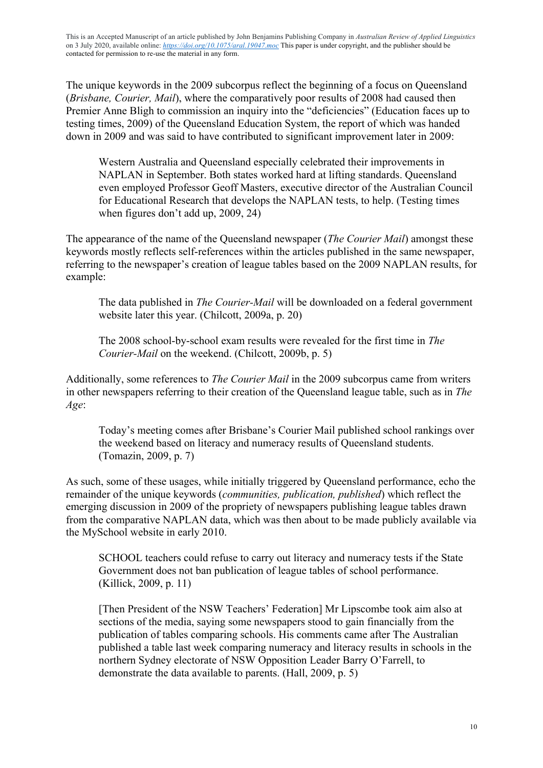The unique keywords in the 2009 subcorpus reflect the beginning of a focus on Queensland (*Brisbane, Courier, Mail*), where the comparatively poor results of 2008 had caused then Premier Anne Bligh to commission an inquiry into the "deficiencies" (Education faces up to testing times, 2009) of the Queensland Education System, the report of which was handed down in 2009 and was said to have contributed to significant improvement later in 2009:

Western Australia and Queensland especially celebrated their improvements in NAPLAN in September. Both states worked hard at lifting standards. Queensland even employed Professor Geoff Masters, executive director of the Australian Council for Educational Research that develops the NAPLAN tests, to help. (Testing times when figures don't add up, 2009, 24)

The appearance of the name of the Queensland newspaper (*The Courier Mail*) amongst these keywords mostly reflects self-references within the articles published in the same newspaper, referring to the newspaper's creation of league tables based on the 2009 NAPLAN results, for example:

The data published in *The Courier-Mail* will be downloaded on a federal government website later this year. (Chilcott, 2009a, p. 20)

The 2008 school-by-school exam results were revealed for the first time in *The Courier-Mail* on the weekend. (Chilcott, 2009b, p. 5)

Additionally, some references to *The Courier Mail* in the 2009 subcorpus came from writers in other newspapers referring to their creation of the Queensland league table, such as in *The Age*:

Today's meeting comes after Brisbane's Courier Mail published school rankings over the weekend based on literacy and numeracy results of Queensland students. (Tomazin, 2009, p. 7)

As such, some of these usages, while initially triggered by Queensland performance, echo the remainder of the unique keywords (*communities, publication, published*) which reflect the emerging discussion in 2009 of the propriety of newspapers publishing league tables drawn from the comparative NAPLAN data, which was then about to be made publicly available via the MySchool website in early 2010.

SCHOOL teachers could refuse to carry out literacy and numeracy tests if the State Government does not ban publication of league tables of school performance. (Killick, 2009, p. 11)

[Then President of the NSW Teachers' Federation] Mr Lipscombe took aim also at sections of the media, saying some newspapers stood to gain financially from the publication of tables comparing schools. His comments came after The Australian published a table last week comparing numeracy and literacy results in schools in the northern Sydney electorate of NSW Opposition Leader Barry O'Farrell, to demonstrate the data available to parents. (Hall, 2009, p. 5)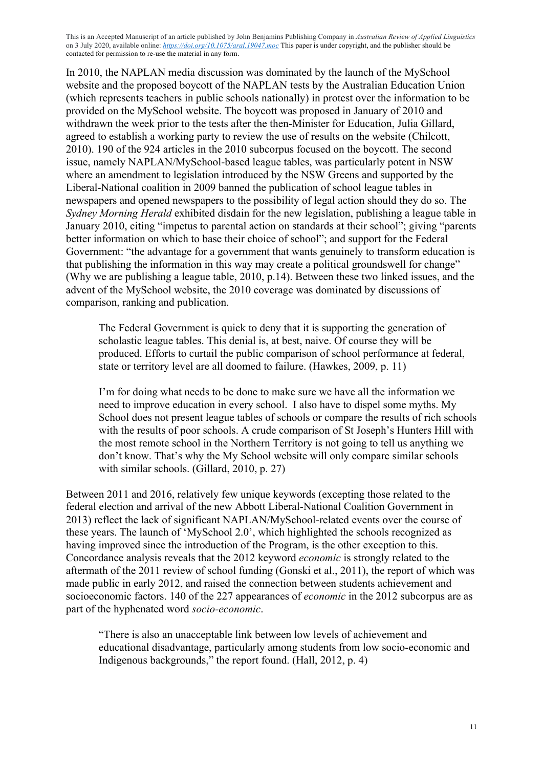In 2010, the NAPLAN media discussion was dominated by the launch of the MySchool website and the proposed boycott of the NAPLAN tests by the Australian Education Union (which represents teachers in public schools nationally) in protest over the information to be provided on the MySchool website. The boycott was proposed in January of 2010 and withdrawn the week prior to the tests after the then-Minister for Education, Julia Gillard, agreed to establish a working party to review the use of results on the website (Chilcott, 2010). 190 of the 924 articles in the 2010 subcorpus focused on the boycott. The second issue, namely NAPLAN/MySchool-based league tables, was particularly potent in NSW where an amendment to legislation introduced by the NSW Greens and supported by the Liberal-National coalition in 2009 banned the publication of school league tables in newspapers and opened newspapers to the possibility of legal action should they do so. The *Sydney Morning Herald* exhibited disdain for the new legislation, publishing a league table in January 2010, citing "impetus to parental action on standards at their school"; giving "parents better information on which to base their choice of school"; and support for the Federal Government: "the advantage for a government that wants genuinely to transform education is that publishing the information in this way may create a political groundswell for change" (Why we are publishing a league table, 2010, p.14). Between these two linked issues, and the advent of the MySchool website, the 2010 coverage was dominated by discussions of comparison, ranking and publication.

The Federal Government is quick to deny that it is supporting the generation of scholastic league tables. This denial is, at best, naive. Of course they will be produced. Efforts to curtail the public comparison of school performance at federal, state or territory level are all doomed to failure. (Hawkes, 2009, p. 11)

I'm for doing what needs to be done to make sure we have all the information we need to improve education in every school. I also have to dispel some myths. My School does not present league tables of schools or compare the results of rich schools with the results of poor schools. A crude comparison of St Joseph's Hunters Hill with the most remote school in the Northern Territory is not going to tell us anything we don't know. That's why the My School website will only compare similar schools with similar schools. (Gillard, 2010, p. 27)

Between 2011 and 2016, relatively few unique keywords (excepting those related to the federal election and arrival of the new Abbott Liberal-National Coalition Government in 2013) reflect the lack of significant NAPLAN/MySchool-related events over the course of these years. The launch of 'MySchool 2.0', which highlighted the schools recognized as having improved since the introduction of the Program, is the other exception to this. Concordance analysis reveals that the 2012 keyword *economic* is strongly related to the aftermath of the 2011 review of school funding (Gonski et al., 2011), the report of which was made public in early 2012, and raised the connection between students achievement and socioeconomic factors. 140 of the 227 appearances of *economic* in the 2012 subcorpus are as part of the hyphenated word *socio-economic*.

"There is also an unacceptable link between low levels of achievement and educational disadvantage, particularly among students from low socio-economic and Indigenous backgrounds," the report found. (Hall, 2012, p. 4)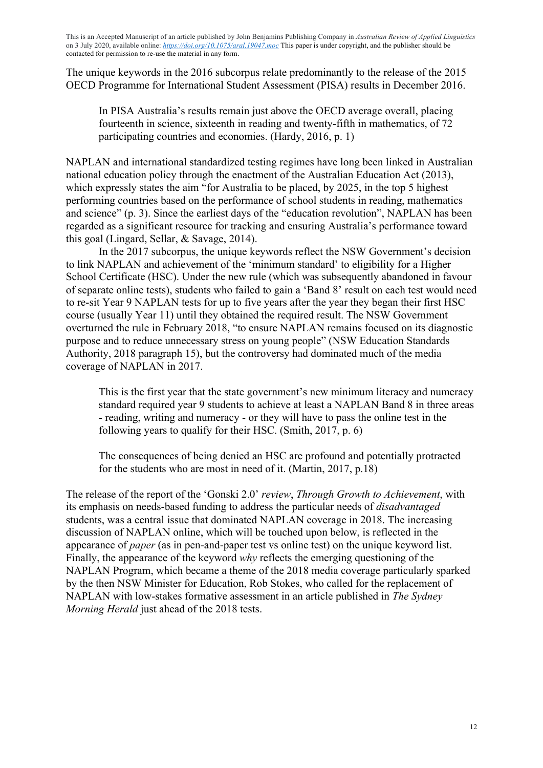The unique keywords in the 2016 subcorpus relate predominantly to the release of the 2015 OECD Programme for International Student Assessment (PISA) results in December 2016.

In PISA Australia's results remain just above the OECD average overall, placing fourteenth in science, sixteenth in reading and twenty-fifth in mathematics, of 72 participating countries and economies. (Hardy, 2016, p. 1)

NAPLAN and international standardized testing regimes have long been linked in Australian national education policy through the enactment of the Australian Education Act (2013), which expressly states the aim "for Australia to be placed, by 2025, in the top 5 highest performing countries based on the performance of school students in reading, mathematics and science" (p. 3). Since the earliest days of the "education revolution", NAPLAN has been regarded as a significant resource for tracking and ensuring Australia's performance toward this goal (Lingard, Sellar, & Savage, 2014).

In the 2017 subcorpus, the unique keywords reflect the NSW Government's decision to link NAPLAN and achievement of the 'minimum standard' to eligibility for a Higher School Certificate (HSC). Under the new rule (which was subsequently abandoned in favour of separate online tests), students who failed to gain a 'Band 8' result on each test would need to re-sit Year 9 NAPLAN tests for up to five years after the year they began their first HSC course (usually Year 11) until they obtained the required result. The NSW Government overturned the rule in February 2018, "to ensure NAPLAN remains focused on its diagnostic purpose and to reduce unnecessary stress on young people" (NSW Education Standards Authority, 2018 paragraph 15), but the controversy had dominated much of the media coverage of NAPLAN in 2017.

This is the first year that the state government's new minimum literacy and numeracy standard required year 9 students to achieve at least a NAPLAN Band 8 in three areas - reading, writing and numeracy - or they will have to pass the online test in the following years to qualify for their HSC. (Smith, 2017, p. 6)

The consequences of being denied an HSC are profound and potentially protracted for the students who are most in need of it. (Martin, 2017, p.18)

The release of the report of the 'Gonski 2.0' *review*, *Through Growth to Achievement*, with its emphasis on needs-based funding to address the particular needs of *disadvantaged* students, was a central issue that dominated NAPLAN coverage in 2018. The increasing discussion of NAPLAN online, which will be touched upon below, is reflected in the appearance of *paper* (as in pen-and-paper test vs online test) on the unique keyword list. Finally, the appearance of the keyword *why* reflects the emerging questioning of the NAPLAN Program, which became a theme of the 2018 media coverage particularly sparked by the then NSW Minister for Education, Rob Stokes, who called for the replacement of NAPLAN with low-stakes formative assessment in an article published in *The Sydney Morning Herald* just ahead of the 2018 tests.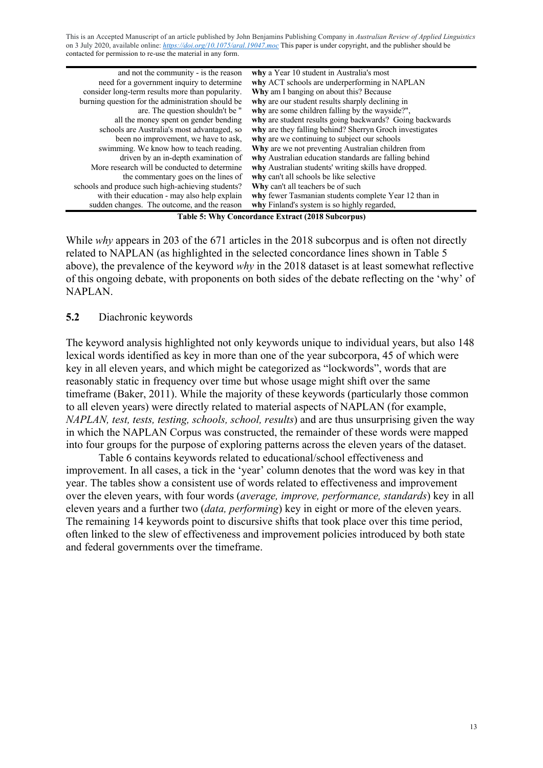| and not the community - is the reason             | why a Year 10 student in Australia's most                                                                                                                                                                                                                                                                                                                                                                                                                                                  |
|---------------------------------------------------|--------------------------------------------------------------------------------------------------------------------------------------------------------------------------------------------------------------------------------------------------------------------------------------------------------------------------------------------------------------------------------------------------------------------------------------------------------------------------------------------|
| need for a government inquiry to determine        | why ACT schools are underperforming in NAPLAN                                                                                                                                                                                                                                                                                                                                                                                                                                              |
| consider long-term results more than popularity.  | Why am I banging on about this? Because                                                                                                                                                                                                                                                                                                                                                                                                                                                    |
| burning question for the administration should be | why are our student results sharply declining in                                                                                                                                                                                                                                                                                                                                                                                                                                           |
| are. The question shouldn't be "                  | why are some children falling by the wayside?",                                                                                                                                                                                                                                                                                                                                                                                                                                            |
| all the money spent on gender bending             | why are student results going backwards? Going backwards                                                                                                                                                                                                                                                                                                                                                                                                                                   |
| schools are Australia's most advantaged, so       | why are they falling behind? Sherryn Groch investigates                                                                                                                                                                                                                                                                                                                                                                                                                                    |
| been no improvement, we have to ask,              | why are we continuing to subject our schools                                                                                                                                                                                                                                                                                                                                                                                                                                               |
| swimming. We know how to teach reading.           | Why are we not preventing Australian children from                                                                                                                                                                                                                                                                                                                                                                                                                                         |
| driven by an in-depth examination of              | why Australian education standards are falling behind                                                                                                                                                                                                                                                                                                                                                                                                                                      |
| More research will be conducted to determine      | why Australian students' writing skills have dropped.                                                                                                                                                                                                                                                                                                                                                                                                                                      |
| the commentary goes on the lines of               | why can't all schools be like selective                                                                                                                                                                                                                                                                                                                                                                                                                                                    |
| schools and produce such high-achieving students? | Why can't all teachers be of such                                                                                                                                                                                                                                                                                                                                                                                                                                                          |
| with their education - may also help explain      | why fewer Tasmanian students complete Year 12 than in                                                                                                                                                                                                                                                                                                                                                                                                                                      |
| sudden changes. The outcome, and the reason       | why Finland's system is so highly regarded,                                                                                                                                                                                                                                                                                                                                                                                                                                                |
|                                                   | $\blacksquare$ $\blacksquare$ $\blacksquare$ $\blacksquare$ $\blacksquare$ $\blacksquare$ $\blacksquare$ $\blacksquare$ $\blacksquare$ $\blacksquare$ $\blacksquare$ $\blacksquare$ $\blacksquare$ $\blacksquare$ $\blacksquare$ $\blacksquare$ $\blacksquare$ $\blacksquare$ $\blacksquare$ $\blacksquare$ $\blacksquare$ $\blacksquare$ $\blacksquare$ $\blacksquare$ $\blacksquare$ $\blacksquare$ $\blacksquare$ $\blacksquare$ $\blacksquare$ $\blacksquare$ $\blacksquare$ $\blacks$ |

**Table 5: Why Concordance Extract (2018 Subcorpus)**

While *why* appears in 203 of the 671 articles in the 2018 subcorpus and is often not directly related to NAPLAN (as highlighted in the selected concordance lines shown in Table 5 above), the prevalence of the keyword *why* in the 2018 dataset is at least somewhat reflective of this ongoing debate, with proponents on both sides of the debate reflecting on the 'why' of NAPLAN.

# **5.2** Diachronic keywords

The keyword analysis highlighted not only keywords unique to individual years, but also 148 lexical words identified as key in more than one of the year subcorpora, 45 of which were key in all eleven years, and which might be categorized as "lockwords", words that are reasonably static in frequency over time but whose usage might shift over the same timeframe (Baker, 2011). While the majority of these keywords (particularly those common to all eleven years) were directly related to material aspects of NAPLAN (for example, *NAPLAN, test, tests, testing, schools, school, results*) and are thus unsurprising given the way in which the NAPLAN Corpus was constructed, the remainder of these words were mapped into four groups for the purpose of exploring patterns across the eleven years of the dataset.

Table 6 contains keywords related to educational/school effectiveness and improvement. In all cases, a tick in the 'year' column denotes that the word was key in that year. The tables show a consistent use of words related to effectiveness and improvement over the eleven years, with four words (*average, improve, performance, standards*) key in all eleven years and a further two (*data, performing*) key in eight or more of the eleven years. The remaining 14 keywords point to discursive shifts that took place over this time period, often linked to the slew of effectiveness and improvement policies introduced by both state and federal governments over the timeframe.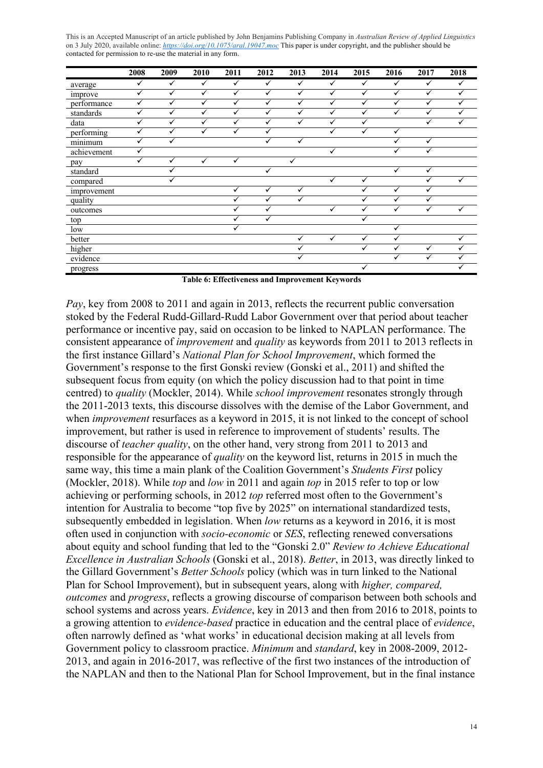|             | 2008         | 2009         | 2010         | 2011         | 2012         | 2013         | 2014         | 2015         | 2016         | 2017         | 2018         |
|-------------|--------------|--------------|--------------|--------------|--------------|--------------|--------------|--------------|--------------|--------------|--------------|
| average     | $\checkmark$ | $\checkmark$ | $\checkmark$ | $\checkmark$ | $\checkmark$ | ✓            | ✓            | $\checkmark$ | $\checkmark$ | $\checkmark$ | $\checkmark$ |
| improve     | ✓            | ✓            | $\checkmark$ | ✓            | ✓            | ✓            | ✓            | $\checkmark$ | ✓            | ✓            | $\checkmark$ |
| performance | ✓            | ✓            | $\checkmark$ | ✓            | ✓            | $\checkmark$ | ✓            | ✓            | ✓            | ✓            | $\checkmark$ |
| standards   | ✓            | $\checkmark$ | ✓            | ✓            | $\checkmark$ | ✓            | ✓            | ✓            | ✓            | ✓            | ✓            |
| data        | ✓            | ✓            | ✓            | ✓            | ✓            | ✓            | ✓            | ✓            |              | ✓            | $\checkmark$ |
| performing  | ✓            | $\checkmark$ | $\checkmark$ | ✓            | $\checkmark$ |              | ✓            | $\checkmark$ | ✓            |              |              |
| minimum     | ✓            |              |              |              | $\checkmark$ | ✓            |              |              | ✓            | ✓            |              |
| achievement | ✓            |              |              |              |              |              | $\checkmark$ |              | ✓            | ✓            |              |
| pay         | ✓            | $\checkmark$ | $\checkmark$ | ✓            |              | $\checkmark$ |              |              |              |              |              |
| standard    |              |              |              |              | ✓            |              |              |              | $\checkmark$ | ✓            |              |
| compared    |              |              |              |              |              |              | ✓            | $\checkmark$ |              | ✓            | ✓            |
| improvement |              |              |              | ✓            | ✓            | ✓            |              | $\checkmark$ | ✓            | ✓            |              |
| quality     |              |              |              | ✓            | ✓            | ✓            |              | ✓            | ✓            | ✓            |              |
| outcomes    |              |              |              |              | ✓            |              | $\checkmark$ | $\checkmark$ | $\checkmark$ | ✓            | $\checkmark$ |
| top         |              |              |              |              |              |              |              | $\checkmark$ |              |              |              |
| low         |              |              |              |              |              |              |              |              | ✓            |              |              |
| better      |              |              |              |              |              | ✓            | $\checkmark$ | $\checkmark$ | ✓            |              | $\checkmark$ |
| higher      |              |              |              |              |              |              |              | ✓            | ✓            | ✓            | $\checkmark$ |
| evidence    |              |              |              |              |              | ✓            |              |              | ✓            | ✓            |              |
| progress    |              |              |              |              |              |              |              | ✓            |              |              |              |

**Table 6: Effectiveness and Improvement Keywords**

*Pay*, key from 2008 to 2011 and again in 2013, reflects the recurrent public conversation stoked by the Federal Rudd-Gillard-Rudd Labor Government over that period about teacher performance or incentive pay, said on occasion to be linked to NAPLAN performance. The consistent appearance of *improvement* and *quality* as keywords from 2011 to 2013 reflects in the first instance Gillard's *National Plan for School Improvement*, which formed the Government's response to the first Gonski review (Gonski et al., 2011) and shifted the subsequent focus from equity (on which the policy discussion had to that point in time centred) to *quality* (Mockler, 2014). While *school improvement* resonates strongly through the 2011-2013 texts, this discourse dissolves with the demise of the Labor Government, and when *improvement* resurfaces as a keyword in 2015, it is not linked to the concept of school improvement, but rather is used in reference to improvement of students' results. The discourse of *teacher quality*, on the other hand, very strong from 2011 to 2013 and responsible for the appearance of *quality* on the keyword list, returns in 2015 in much the same way, this time a main plank of the Coalition Government's *Students First* policy (Mockler, 2018). While *top* and *low* in 2011 and again *top* in 2015 refer to top or low achieving or performing schools, in 2012 *top* referred most often to the Government's intention for Australia to become "top five by 2025" on international standardized tests, subsequently embedded in legislation. When *low* returns as a keyword in 2016, it is most often used in conjunction with *socio-economic* or *SES*, reflecting renewed conversations about equity and school funding that led to the "Gonski 2.0" *Review to Achieve Educational Excellence in Australian Schools* (Gonski et al., 2018). *Better*, in 2013, was directly linked to the Gillard Government's *Better Schools* policy (which was in turn linked to the National Plan for School Improvement), but in subsequent years, along with *higher, compared, outcomes* and *progress*, reflects a growing discourse of comparison between both schools and school systems and across years. *Evidence*, key in 2013 and then from 2016 to 2018, points to a growing attention to *evidence-based* practice in education and the central place of *evidence*, often narrowly defined as 'what works' in educational decision making at all levels from Government policy to classroom practice. *Minimum* and *standard*, key in 2008-2009, 2012- 2013, and again in 2016-2017, was reflective of the first two instances of the introduction of the NAPLAN and then to the National Plan for School Improvement, but in the final instance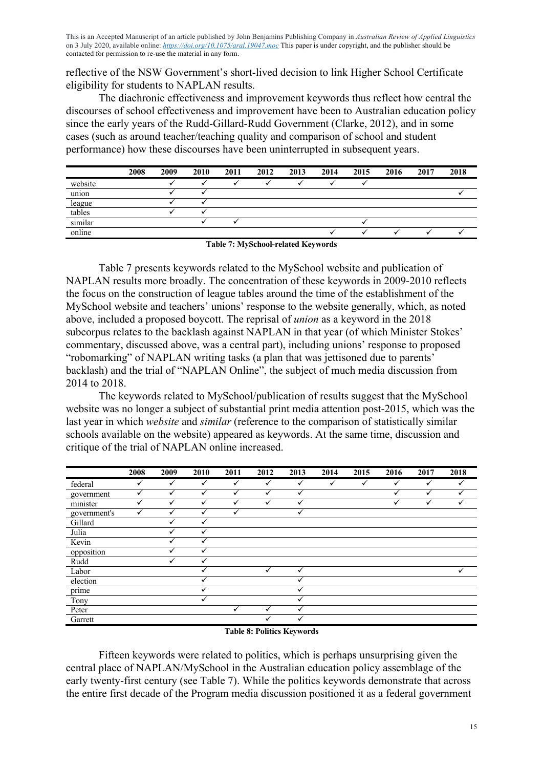reflective of the NSW Government's short-lived decision to link Higher School Certificate eligibility for students to NAPLAN results.

The diachronic effectiveness and improvement keywords thus reflect how central the discourses of school effectiveness and improvement have been to Australian education policy since the early years of the Rudd-Gillard-Rudd Government (Clarke, 2012), and in some cases (such as around teacher/teaching quality and comparison of school and student performance) how these discourses have been uninterrupted in subsequent years.

|                        | 2008 | 2009 | 2010 | 2011 | 2012 | 2013 | 2014 | 2015 | 2016 | 2017 | 2018 |
|------------------------|------|------|------|------|------|------|------|------|------|------|------|
| website                |      |      |      |      |      |      |      |      |      |      |      |
| $\sim$ $\sim$<br>union |      |      |      |      |      |      |      |      |      |      |      |
| league                 |      |      |      |      |      |      |      |      |      |      |      |
| tables                 |      |      |      |      |      |      |      |      |      |      |      |
| similar                |      |      |      |      |      |      |      |      |      |      |      |
| online                 |      |      |      |      |      |      |      |      |      |      |      |

**Table 7: MySchool-related Keywords**

Table 7 presents keywords related to the MySchool website and publication of NAPLAN results more broadly. The concentration of these keywords in 2009-2010 reflects the focus on the construction of league tables around the time of the establishment of the MySchool website and teachers' unions' response to the website generally, which, as noted above, included a proposed boycott. The reprisal of *union* as a keyword in the 2018 subcorpus relates to the backlash against NAPLAN in that year (of which Minister Stokes' commentary, discussed above, was a central part), including unions' response to proposed "robomarking" of NAPLAN writing tasks (a plan that was jettisoned due to parents' backlash) and the trial of "NAPLAN Online", the subject of much media discussion from 2014 to 2018.

The keywords related to MySchool/publication of results suggest that the MySchool website was no longer a subject of substantial print media attention post-2015, which was the last year in which *website* and *similar* (reference to the comparison of statistically similar schools available on the website) appeared as keywords. At the same time, discussion and critique of the trial of NAPLAN online increased.

| 2008         | 2009         | 2010         | 2011         | 2012         | 2013         | 2014 | 2015         | 2016         | 2017         | 2018 |
|--------------|--------------|--------------|--------------|--------------|--------------|------|--------------|--------------|--------------|------|
| $\checkmark$ | $\checkmark$ | $\checkmark$ | $\checkmark$ | $\checkmark$ | $\checkmark$ | ✓    | $\checkmark$ | $\checkmark$ | $\checkmark$ | ✓    |
| ✓            | $\checkmark$ | √            |              | √            | ✓            |      |              | ✓            | v            |      |
|              | v            |              |              |              | ✓            |      |              |              |              |      |
| ✓            |              |              |              |              | ✓            |      |              |              |              |      |
|              |              | v            |              |              |              |      |              |              |              |      |
|              |              | ✔            |              |              |              |      |              |              |              |      |
|              |              |              |              |              |              |      |              |              |              |      |
|              |              |              |              |              |              |      |              |              |              |      |
|              |              |              |              |              |              |      |              |              |              |      |
|              |              |              |              | ✓            | ✓            |      |              |              |              | ✓    |
|              |              |              |              |              | ✓            |      |              |              |              |      |
|              |              |              |              |              | $\checkmark$ |      |              |              |              |      |
|              |              |              |              |              | ✓            |      |              |              |              |      |
|              |              |              |              |              | ✓            |      |              |              |              |      |
|              |              |              |              |              | ✓            |      |              |              |              |      |
|              |              |              |              |              |              |      |              |              |              |      |

#### **Table 8: Politics Keywords**

Fifteen keywords were related to politics, which is perhaps unsurprising given the central place of NAPLAN/MySchool in the Australian education policy assemblage of the early twenty-first century (see Table 7). While the politics keywords demonstrate that across the entire first decade of the Program media discussion positioned it as a federal government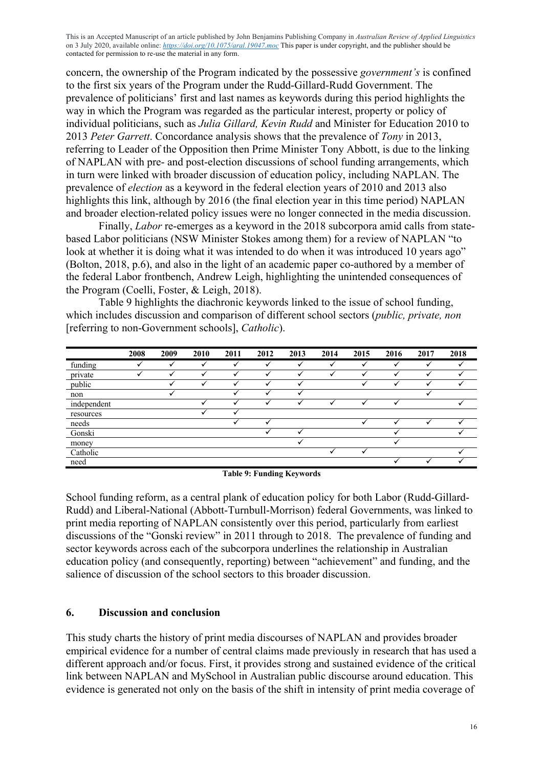concern, the ownership of the Program indicated by the possessive *government's* is confined to the first six years of the Program under the Rudd-Gillard-Rudd Government. The prevalence of politicians' first and last names as keywords during this period highlights the way in which the Program was regarded as the particular interest, property or policy of individual politicians, such as *Julia Gillard, Kevin Rudd* and Minister for Education 2010 to 2013 *Peter Garrett*. Concordance analysis shows that the prevalence of *Tony* in 2013, referring to Leader of the Opposition then Prime Minister Tony Abbott, is due to the linking of NAPLAN with pre- and post-election discussions of school funding arrangements, which in turn were linked with broader discussion of education policy, including NAPLAN. The prevalence of *election* as a keyword in the federal election years of 2010 and 2013 also highlights this link, although by 2016 (the final election year in this time period) NAPLAN and broader election-related policy issues were no longer connected in the media discussion.

Finally, *Labor* re-emerges as a keyword in the 2018 subcorpora amid calls from statebased Labor politicians (NSW Minister Stokes among them) for a review of NAPLAN "to look at whether it is doing what it was intended to do when it was introduced 10 years ago" (Bolton, 2018, p.6), and also in the light of an academic paper co-authored by a member of the federal Labor frontbench, Andrew Leigh, highlighting the unintended consequences of the Program (Coelli, Foster, & Leigh, 2018).

Table 9 highlights the diachronic keywords linked to the issue of school funding, which includes discussion and comparison of different school sectors (*public, private, non* [referring to non-Government schools], *Catholic*).

|             | 2008 | 2009 | 2010 | 2011 | 2012 | 2013 | 2014 | 2015 | 2016 | 2017 | 2018 |  |
|-------------|------|------|------|------|------|------|------|------|------|------|------|--|
| funding     |      |      |      |      |      | ັ    |      |      |      |      |      |  |
| private     |      |      |      |      |      | u    |      |      |      |      |      |  |
| public      |      |      |      |      |      | ✓    |      |      | ↵    |      |      |  |
| non         |      |      |      |      |      | ✓    |      |      |      |      |      |  |
| independent |      |      |      |      |      |      |      |      |      |      |      |  |
| resources   |      |      |      |      |      |      |      |      |      |      |      |  |
| needs       |      |      |      |      |      |      |      |      |      |      |      |  |
| Gonski      |      |      |      |      |      |      |      |      |      |      |      |  |
| money       |      |      |      |      |      |      |      |      |      |      |      |  |
| Catholic    |      |      |      |      |      |      |      |      |      |      |      |  |
| need        |      |      |      |      |      |      |      |      |      |      |      |  |

**Table 9: Funding Keywords**

School funding reform, as a central plank of education policy for both Labor (Rudd-Gillard-Rudd) and Liberal-National (Abbott-Turnbull-Morrison) federal Governments, was linked to print media reporting of NAPLAN consistently over this period, particularly from earliest discussions of the "Gonski review" in 2011 through to 2018. The prevalence of funding and sector keywords across each of the subcorpora underlines the relationship in Australian education policy (and consequently, reporting) between "achievement" and funding, and the salience of discussion of the school sectors to this broader discussion.

#### **6. Discussion and conclusion**

This study charts the history of print media discourses of NAPLAN and provides broader empirical evidence for a number of central claims made previously in research that has used a different approach and/or focus. First, it provides strong and sustained evidence of the critical link between NAPLAN and MySchool in Australian public discourse around education. This evidence is generated not only on the basis of the shift in intensity of print media coverage of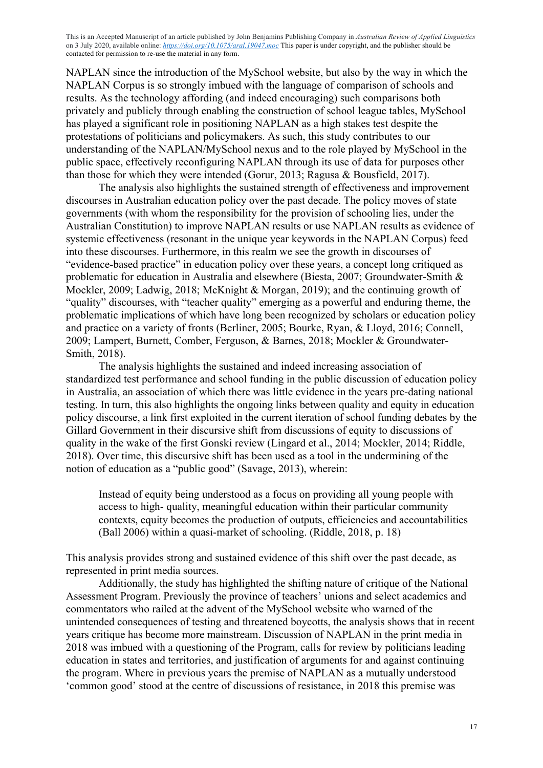NAPLAN since the introduction of the MySchool website, but also by the way in which the NAPLAN Corpus is so strongly imbued with the language of comparison of schools and results. As the technology affording (and indeed encouraging) such comparisons both privately and publicly through enabling the construction of school league tables, MySchool has played a significant role in positioning NAPLAN as a high stakes test despite the protestations of politicians and policymakers. As such, this study contributes to our understanding of the NAPLAN/MySchool nexus and to the role played by MySchool in the public space, effectively reconfiguring NAPLAN through its use of data for purposes other than those for which they were intended (Gorur, 2013; Ragusa & Bousfield, 2017).

The analysis also highlights the sustained strength of effectiveness and improvement discourses in Australian education policy over the past decade. The policy moves of state governments (with whom the responsibility for the provision of schooling lies, under the Australian Constitution) to improve NAPLAN results or use NAPLAN results as evidence of systemic effectiveness (resonant in the unique year keywords in the NAPLAN Corpus) feed into these discourses. Furthermore, in this realm we see the growth in discourses of "evidence-based practice" in education policy over these years, a concept long critiqued as problematic for education in Australia and elsewhere (Biesta, 2007; Groundwater-Smith & Mockler, 2009; Ladwig, 2018; McKnight & Morgan, 2019); and the continuing growth of "quality" discourses, with "teacher quality" emerging as a powerful and enduring theme, the problematic implications of which have long been recognized by scholars or education policy and practice on a variety of fronts (Berliner, 2005; Bourke, Ryan, & Lloyd, 2016; Connell, 2009; Lampert, Burnett, Comber, Ferguson, & Barnes, 2018; Mockler & Groundwater-Smith, 2018).

The analysis highlights the sustained and indeed increasing association of standardized test performance and school funding in the public discussion of education policy in Australia, an association of which there was little evidence in the years pre-dating national testing. In turn, this also highlights the ongoing links between quality and equity in education policy discourse, a link first exploited in the current iteration of school funding debates by the Gillard Government in their discursive shift from discussions of equity to discussions of quality in the wake of the first Gonski review (Lingard et al., 2014; Mockler, 2014; Riddle, 2018). Over time, this discursive shift has been used as a tool in the undermining of the notion of education as a "public good" (Savage, 2013), wherein:

Instead of equity being understood as a focus on providing all young people with access to high- quality, meaningful education within their particular community contexts, equity becomes the production of outputs, efficiencies and accountabilities (Ball 2006) within a quasi-market of schooling. (Riddle, 2018, p. 18)

This analysis provides strong and sustained evidence of this shift over the past decade, as represented in print media sources.

Additionally, the study has highlighted the shifting nature of critique of the National Assessment Program. Previously the province of teachers' unions and select academics and commentators who railed at the advent of the MySchool website who warned of the unintended consequences of testing and threatened boycotts, the analysis shows that in recent years critique has become more mainstream. Discussion of NAPLAN in the print media in 2018 was imbued with a questioning of the Program, calls for review by politicians leading education in states and territories, and justification of arguments for and against continuing the program. Where in previous years the premise of NAPLAN as a mutually understood 'common good' stood at the centre of discussions of resistance, in 2018 this premise was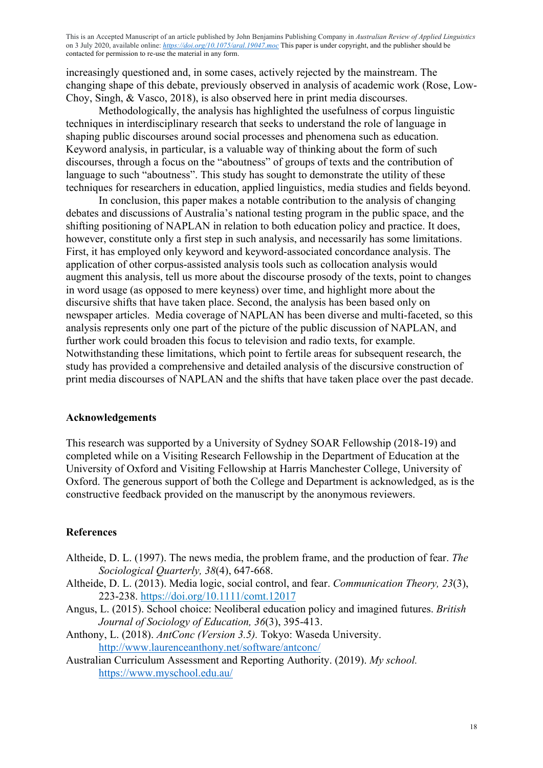increasingly questioned and, in some cases, actively rejected by the mainstream. The changing shape of this debate, previously observed in analysis of academic work (Rose, Low-Choy, Singh, & Vasco, 2018), is also observed here in print media discourses.

Methodologically, the analysis has highlighted the usefulness of corpus linguistic techniques in interdisciplinary research that seeks to understand the role of language in shaping public discourses around social processes and phenomena such as education. Keyword analysis, in particular, is a valuable way of thinking about the form of such discourses, through a focus on the "aboutness" of groups of texts and the contribution of language to such "aboutness". This study has sought to demonstrate the utility of these techniques for researchers in education, applied linguistics, media studies and fields beyond.

In conclusion, this paper makes a notable contribution to the analysis of changing debates and discussions of Australia's national testing program in the public space, and the shifting positioning of NAPLAN in relation to both education policy and practice. It does, however, constitute only a first step in such analysis, and necessarily has some limitations. First, it has employed only keyword and keyword-associated concordance analysis. The application of other corpus-assisted analysis tools such as collocation analysis would augment this analysis, tell us more about the discourse prosody of the texts, point to changes in word usage (as opposed to mere keyness) over time, and highlight more about the discursive shifts that have taken place. Second, the analysis has been based only on newspaper articles. Media coverage of NAPLAN has been diverse and multi-faceted, so this analysis represents only one part of the picture of the public discussion of NAPLAN, and further work could broaden this focus to television and radio texts, for example. Notwithstanding these limitations, which point to fertile areas for subsequent research, the study has provided a comprehensive and detailed analysis of the discursive construction of print media discourses of NAPLAN and the shifts that have taken place over the past decade.

#### **Acknowledgements**

This research was supported by a University of Sydney SOAR Fellowship (2018-19) and completed while on a Visiting Research Fellowship in the Department of Education at the University of Oxford and Visiting Fellowship at Harris Manchester College, University of Oxford. The generous support of both the College and Department is acknowledged, as is the constructive feedback provided on the manuscript by the anonymous reviewers.

#### **References**

- Altheide, D. L. (1997). The news media, the problem frame, and the production of fear. *The Sociological Quarterly, 38*(4), 647-668.
- Altheide, D. L. (2013). Media logic, social control, and fear. *Communication Theory, 23*(3), 223-238. https://doi.org/10.1111/comt.12017
- Angus, L. (2015). School choice: Neoliberal education policy and imagined futures. *British Journal of Sociology of Education, 36*(3), 395-413.
- Anthony, L. (2018). *AntConc (Version 3.5).* Tokyo: Waseda University. http://www.laurenceanthony.net/software/antconc/
- Australian Curriculum Assessment and Reporting Authority. (2019). *My school.* https://www.myschool.edu.au/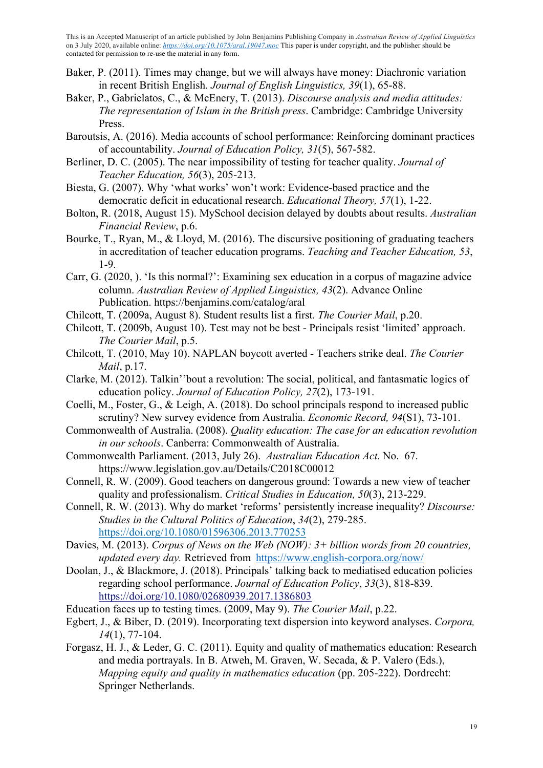- Baker, P. (2011). Times may change, but we will always have money: Diachronic variation in recent British English. *Journal of English Linguistics, 39*(1), 65-88.
- Baker, P., Gabrielatos, C., & McEnery, T. (2013). *Discourse analysis and media attitudes: The representation of Islam in the British press*. Cambridge: Cambridge University Press.
- Baroutsis, A. (2016). Media accounts of school performance: Reinforcing dominant practices of accountability. *Journal of Education Policy, 31*(5), 567-582.
- Berliner, D. C. (2005). The near impossibility of testing for teacher quality. *Journal of Teacher Education, 56*(3), 205-213.
- Biesta, G. (2007). Why 'what works' won't work: Evidence-based practice and the democratic deficit in educational research. *Educational Theory, 57*(1), 1-22.
- Bolton, R. (2018, August 15). MySchool decision delayed by doubts about results. *Australian Financial Review*, p.6.
- Bourke, T., Ryan, M., & Lloyd, M. (2016). The discursive positioning of graduating teachers in accreditation of teacher education programs. *Teaching and Teacher Education, 53*, 1-9.
- Carr, G. (2020, ). 'Is this normal?': Examining sex education in a corpus of magazine advice column. *Australian Review of Applied Linguistics, 43*(2). Advance Online Publication. https://benjamins.com/catalog/aral
- Chilcott, T. (2009a, August 8). Student results list a first. *The Courier Mail*, p.20.
- Chilcott, T. (2009b, August 10). Test may not be best Principals resist 'limited' approach. *The Courier Mail*, p.5.
- Chilcott, T. (2010, May 10). NAPLAN boycott averted Teachers strike deal. *The Courier Mail*, p.17.
- Clarke, M. (2012). Talkin''bout a revolution: The social, political, and fantasmatic logics of education policy. *Journal of Education Policy, 27*(2), 173-191.
- Coelli, M., Foster, G., & Leigh, A. (2018). Do school principals respond to increased public scrutiny? New survey evidence from Australia. *Economic Record, 94*(S1), 73-101.
- Commonwealth of Australia. (2008). *Quality education: The case for an education revolution in our schools*. Canberra: Commonwealth of Australia.
- Commonwealth Parliament. (2013, July 26). *Australian Education Act*. No. 67. https://www.legislation.gov.au/Details/C2018C00012
- Connell, R. W. (2009). Good teachers on dangerous ground: Towards a new view of teacher quality and professionalism. *Critical Studies in Education, 50*(3), 213-229.
- Connell, R. W. (2013). Why do market 'reforms' persistently increase inequality? *Discourse: Studies in the Cultural Politics of Education*, *34*(2), 279-285. https://doi.org/10.1080/01596306.2013.770253
- Davies, M. (2013). *Corpus of News on the Web (NOW): 3+ billion words from 20 countries, updated every day.* Retrieved from https://www.english-corpora.org/now/
- Doolan, J., & Blackmore, J. (2018). Principals' talking back to mediatised education policies regarding school performance. *Journal of Education Policy*, *33*(3), 818-839. https://doi.org/10.1080/02680939.2017.1386803
- Education faces up to testing times. (2009, May 9). *The Courier Mail*, p.22.
- Egbert, J., & Biber, D. (2019). Incorporating text dispersion into keyword analyses. *Corpora, 14*(1), 77-104.
- Forgasz, H. J., & Leder, G. C. (2011). Equity and quality of mathematics education: Research and media portrayals. In B. Atweh, M. Graven, W. Secada, & P. Valero (Eds.), *Mapping equity and quality in mathematics education* (pp. 205-222). Dordrecht: Springer Netherlands.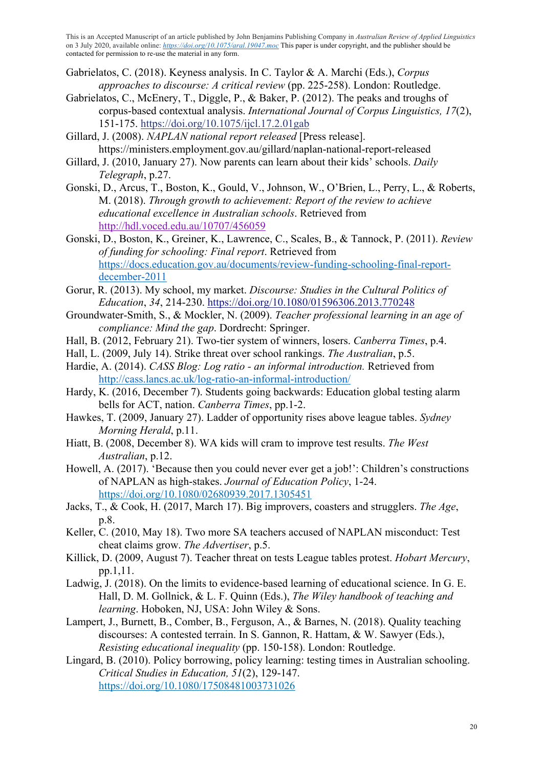- Gabrielatos, C. (2018). Keyness analysis. In C. Taylor & A. Marchi (Eds.), *Corpus approaches to discourse: A critical review* (pp. 225-258). London: Routledge.
- Gabrielatos, C., McEnery, T., Diggle, P., & Baker, P. (2012). The peaks and troughs of corpus-based contextual analysis. *International Journal of Corpus Linguistics, 17*(2), 151-175. https://doi.org/10.1075/ijcl.17.2.01gab
- Gillard, J. (2008). *NAPLAN national report released* [Press release]. https://ministers.employment.gov.au/gillard/naplan-national-report-released
- Gillard, J. (2010, January 27). Now parents can learn about their kids' schools. *Daily Telegraph*, p.27.
- Gonski, D., Arcus, T., Boston, K., Gould, V., Johnson, W., O'Brien, L., Perry, L., & Roberts, M. (2018). *Through growth to achievement: Report of the review to achieve educational excellence in Australian schools*. Retrieved from http://hdl.voced.edu.au/10707/456059
- Gonski, D., Boston, K., Greiner, K., Lawrence, C., Scales, B., & Tannock, P. (2011). *Review of funding for schooling: Final report*. Retrieved from https://docs.education.gov.au/documents/review-funding-schooling-final-reportdecember-2011
- Gorur, R. (2013). My school, my market. *Discourse: Studies in the Cultural Politics of Education*, *34*, 214-230. https://doi.org/10.1080/01596306.2013.770248
- Groundwater-Smith, S., & Mockler, N. (2009). *Teacher professional learning in an age of compliance: Mind the gap*. Dordrecht: Springer.
- Hall, B. (2012, February 21). Two-tier system of winners, losers. *Canberra Times*, p.4.
- Hall, L. (2009, July 14). Strike threat over school rankings. *The Australian*, p.5.
- Hardie, A. (2014). *CASS Blog: Log ratio - an informal introduction.* Retrieved from http://cass.lancs.ac.uk/log-ratio-an-informal-introduction/
- Hardy, K. (2016, December 7). Students going backwards: Education global testing alarm bells for ACT, nation. *Canberra Times*, pp.1-2.
- Hawkes, T. (2009, January 27). Ladder of opportunity rises above league tables. *Sydney Morning Herald*, p.11.
- Hiatt, B. (2008, December 8). WA kids will cram to improve test results. *The West Australian*, p.12.
- Howell, A. (2017). 'Because then you could never ever get a job!': Children's constructions of NAPLAN as high-stakes. *Journal of Education Policy*, 1-24. https://doi.org/10.1080/02680939.2017.1305451
- Jacks, T., & Cook, H. (2017, March 17). Big improvers, coasters and strugglers. *The Age*, p.8.
- Keller, C. (2010, May 18). Two more SA teachers accused of NAPLAN misconduct: Test cheat claims grow. *The Advertiser*, p.5.
- Killick, D. (2009, August 7). Teacher threat on tests League tables protest. *Hobart Mercury*, pp.1,11.
- Ladwig, J. (2018). On the limits to evidence-based learning of educational science. In G. E. Hall, D. M. Gollnick, & L. F. Quinn (Eds.), *The Wiley handbook of teaching and learning*. Hoboken, NJ, USA: John Wiley & Sons.
- Lampert, J., Burnett, B., Comber, B., Ferguson, A., & Barnes, N. (2018). Quality teaching discourses: A contested terrain. In S. Gannon, R. Hattam, & W. Sawyer (Eds.), *Resisting educational inequality* (pp. 150-158). London: Routledge.
- Lingard, B. (2010). Policy borrowing, policy learning: testing times in Australian schooling. *Critical Studies in Education, 51*(2), 129-147. https://doi.org/10.1080/17508481003731026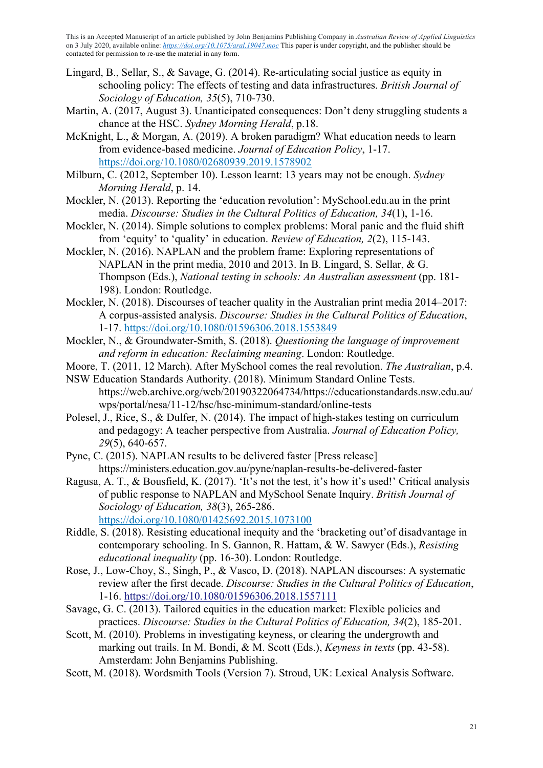- Lingard, B., Sellar, S., & Savage, G. (2014). Re-articulating social justice as equity in schooling policy: The effects of testing and data infrastructures. *British Journal of Sociology of Education, 35*(5), 710-730.
- Martin, A. (2017, August 3). Unanticipated consequences: Don't deny struggling students a chance at the HSC. *Sydney Morning Herald*, p.18.
- McKnight, L., & Morgan, A. (2019). A broken paradigm? What education needs to learn from evidence-based medicine. *Journal of Education Policy*, 1-17. https://doi.org/10.1080/02680939.2019.1578902
- Milburn, C. (2012, September 10). Lesson learnt: 13 years may not be enough. *Sydney Morning Herald*, p. 14.
- Mockler, N. (2013). Reporting the 'education revolution': MySchool.edu.au in the print media. *Discourse: Studies in the Cultural Politics of Education, 34*(1), 1-16.
- Mockler, N. (2014). Simple solutions to complex problems: Moral panic and the fluid shift from 'equity' to 'quality' in education. *Review of Education, 2*(2), 115-143.
- Mockler, N. (2016). NAPLAN and the problem frame: Exploring representations of NAPLAN in the print media, 2010 and 2013. In B. Lingard, S. Sellar, & G. Thompson (Eds.), *National testing in schools: An Australian assessment* (pp. 181- 198). London: Routledge.
- Mockler, N. (2018). Discourses of teacher quality in the Australian print media 2014–2017: A corpus-assisted analysis. *Discourse: Studies in the Cultural Politics of Education*, 1-17. https://doi.org/10.1080/01596306.2018.1553849
- Mockler, N., & Groundwater-Smith, S. (2018). *Questioning the language of improvement and reform in education: Reclaiming meaning*. London: Routledge.
- Moore, T. (2011, 12 March). After MySchool comes the real revolution. *The Australian*, p.4.
- NSW Education Standards Authority. (2018). Minimum Standard Online Tests. https://web.archive.org/web/20190322064734/https://educationstandards.nsw.edu.au/ wps/portal/nesa/11-12/hsc/hsc-minimum-standard/online-tests
- Polesel, J., Rice, S., & Dulfer, N. (2014). The impact of high-stakes testing on curriculum and pedagogy: A teacher perspective from Australia. *Journal of Education Policy, 29*(5), 640-657.
- Pyne, C. (2015). NAPLAN results to be delivered faster [Press release] https://ministers.education.gov.au/pyne/naplan-results-be-delivered-faster
- Ragusa, A. T., & Bousfield, K. (2017). 'It's not the test, it's how it's used!' Critical analysis of public response to NAPLAN and MySchool Senate Inquiry. *British Journal of Sociology of Education, 38*(3), 265-286. https://doi.org/10.1080/01425692.2015.1073100
- Riddle, S. (2018). Resisting educational inequity and the 'bracketing out'of disadvantage in contemporary schooling. In S. Gannon, R. Hattam, & W. Sawyer (Eds.), *Resisting educational inequality* (pp. 16-30). London: Routledge.
- Rose, J., Low-Choy, S., Singh, P., & Vasco, D. (2018). NAPLAN discourses: A systematic review after the first decade. *Discourse: Studies in the Cultural Politics of Education*, 1-16. https://doi.org/10.1080/01596306.2018.1557111
- Savage, G. C. (2013). Tailored equities in the education market: Flexible policies and practices. *Discourse: Studies in the Cultural Politics of Education, 34*(2), 185-201.
- Scott, M. (2010). Problems in investigating keyness, or clearing the undergrowth and marking out trails. In M. Bondi, & M. Scott (Eds.), *Keyness in texts* (pp. 43-58). Amsterdam: John Benjamins Publishing.
- Scott, M. (2018). Wordsmith Tools (Version 7). Stroud, UK: Lexical Analysis Software.